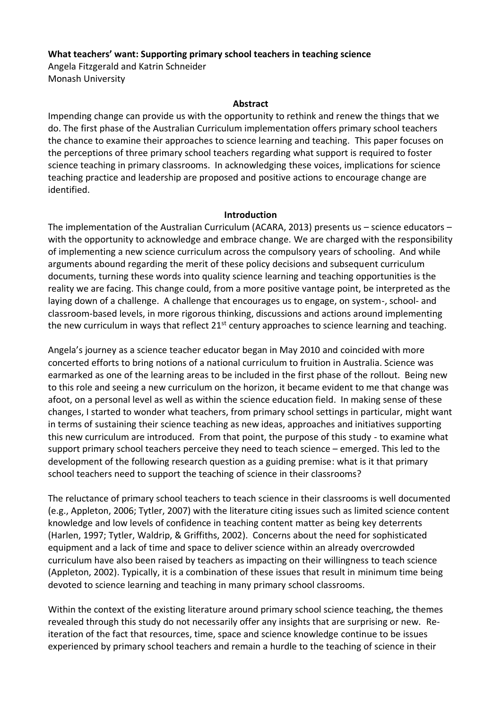### **What teachers' want: Supporting primary school teachers in teaching science**

Angela Fitzgerald and Katrin Schneider Monash University

#### **Abstract**

Impending change can provide us with the opportunity to rethink and renew the things that we do. The first phase of the Australian Curriculum implementation offers primary school teachers the chance to examine their approaches to science learning and teaching. This paper focuses on the perceptions of three primary school teachers regarding what support is required to foster science teaching in primary classrooms. In acknowledging these voices, implications for science teaching practice and leadership are proposed and positive actions to encourage change are identified.

#### **Introduction**

The implementation of the Australian Curriculum (ACARA, 2013) presents us – science educators – with the opportunity to acknowledge and embrace change. We are charged with the responsibility of implementing a new science curriculum across the compulsory years of schooling. And while arguments abound regarding the merit of these policy decisions and subsequent curriculum documents, turning these words into quality science learning and teaching opportunities is the reality we are facing. This change could, from a more positive vantage point, be interpreted as the laying down of a challenge. A challenge that encourages us to engage, on system-, school- and classroom-based levels, in more rigorous thinking, discussions and actions around implementing the new curriculum in ways that reflect 21<sup>st</sup> century approaches to science learning and teaching.

Angela's journey as a science teacher educator began in May 2010 and coincided with more concerted efforts to bring notions of a national curriculum to fruition in Australia. Science was earmarked as one of the learning areas to be included in the first phase of the rollout. Being new to this role and seeing a new curriculum on the horizon, it became evident to me that change was afoot, on a personal level as well as within the science education field. In making sense of these changes, I started to wonder what teachers, from primary school settings in particular, might want in terms of sustaining their science teaching as new ideas, approaches and initiatives supporting this new curriculum are introduced. From that point, the purpose of this study - to examine what support primary school teachers perceive they need to teach science – emerged. This led to the development of the following research question as a guiding premise: what is it that primary school teachers need to support the teaching of science in their classrooms?

The reluctance of primary school teachers to teach science in their classrooms is well documented (e.g., Appleton, 2006; Tytler, 2007) with the literature citing issues such as limited science content knowledge and low levels of confidence in teaching content matter as being key deterrents (Harlen, 1997; Tytler, Waldrip, & Griffiths, 2002). Concerns about the need for sophisticated equipment and a lack of time and space to deliver science within an already overcrowded curriculum have also been raised by teachers as impacting on their willingness to teach science (Appleton, 2002). Typically, it is a combination of these issues that result in minimum time being devoted to science learning and teaching in many primary school classrooms.

Within the context of the existing literature around primary school science teaching, the themes revealed through this study do not necessarily offer any insights that are surprising or new. Reiteration of the fact that resources, time, space and science knowledge continue to be issues experienced by primary school teachers and remain a hurdle to the teaching of science in their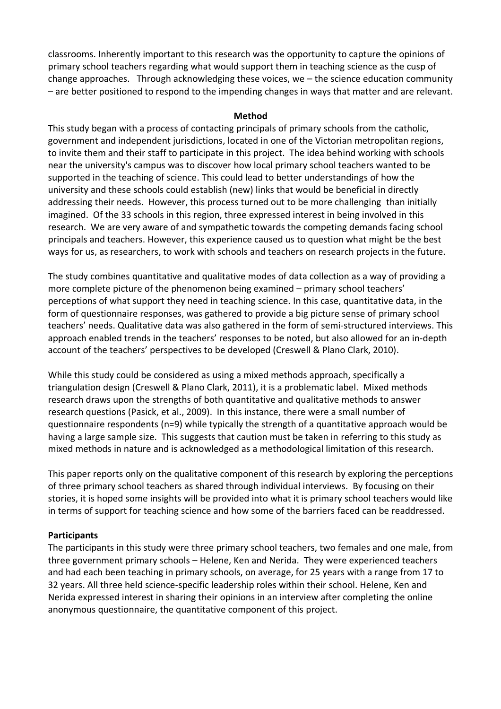classrooms. Inherently important to this research was the opportunity to capture the opinions of primary school teachers regarding what would support them in teaching science as the cusp of change approaches. Through acknowledging these voices, we – the science education community – are better positioned to respond to the impending changes in ways that matter and are relevant.

#### **Method**

This study began with a process of contacting principals of primary schools from the catholic, government and independent jurisdictions, located in one of the Victorian metropolitan regions, to invite them and their staff to participate in this project. The idea behind working with schools near the university's campus was to discover how local primary school teachers wanted to be supported in the teaching of science. This could lead to better understandings of how the university and these schools could establish (new) links that would be beneficial in directly addressing their needs. However, this process turned out to be more challenging than initially imagined. Of the 33 schools in this region, three expressed interest in being involved in this research. We are very aware of and sympathetic towards the competing demands facing school principals and teachers. However, this experience caused us to question what might be the best ways for us, as researchers, to work with schools and teachers on research projects in the future.

The study combines quantitative and qualitative modes of data collection as a way of providing a more complete picture of the phenomenon being examined – primary school teachers' perceptions of what support they need in teaching science. In this case, quantitative data, in the form of questionnaire responses, was gathered to provide a big picture sense of primary school teachers' needs. Qualitative data was also gathered in the form of semi-structured interviews. This approach enabled trends in the teachers' responses to be noted, but also allowed for an in-depth account of the teachers' perspectives to be developed (Creswell & Plano Clark, 2010).

While this study could be considered as using a mixed methods approach, specifically a triangulation design (Creswell & Plano Clark, 2011), it is a problematic label. Mixed methods research draws upon the strengths of both quantitative and qualitative methods to answer research questions (Pasick, et al., 2009). In this instance, there were a small number of questionnaire respondents (n=9) while typically the strength of a quantitative approach would be having a large sample size. This suggests that caution must be taken in referring to this study as mixed methods in nature and is acknowledged as a methodological limitation of this research.

This paper reports only on the qualitative component of this research by exploring the perceptions of three primary school teachers as shared through individual interviews. By focusing on their stories, it is hoped some insights will be provided into what it is primary school teachers would like in terms of support for teaching science and how some of the barriers faced can be readdressed.

# **Participants**

The participants in this study were three primary school teachers, two females and one male, from three government primary schools – Helene, Ken and Nerida. They were experienced teachers and had each been teaching in primary schools, on average, for 25 years with a range from 17 to 32 years. All three held science-specific leadership roles within their school. Helene, Ken and Nerida expressed interest in sharing their opinions in an interview after completing the online anonymous questionnaire, the quantitative component of this project.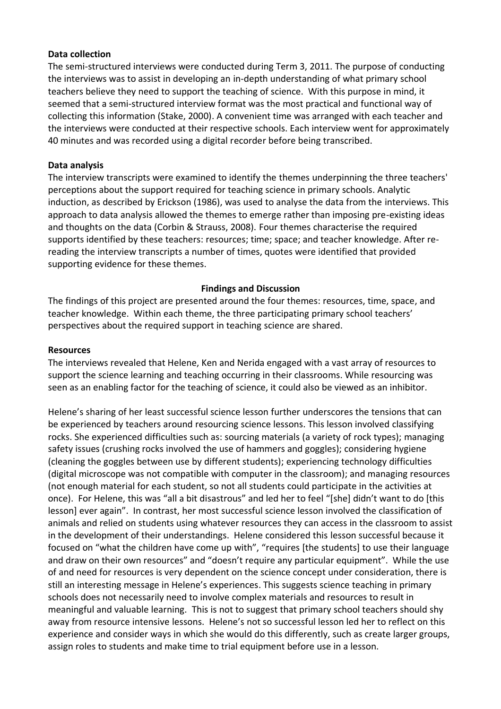### **Data collection**

The semi-structured interviews were conducted during Term 3, 2011. The purpose of conducting the interviews was to assist in developing an in-depth understanding of what primary school teachers believe they need to support the teaching of science. With this purpose in mind, it seemed that a semi-structured interview format was the most practical and functional way of collecting this information (Stake, 2000). A convenient time was arranged with each teacher and the interviews were conducted at their respective schools. Each interview went for approximately 40 minutes and was recorded using a digital recorder before being transcribed.

### **Data analysis**

The interview transcripts were examined to identify the themes underpinning the three teachers' perceptions about the support required for teaching science in primary schools. Analytic induction, as described by Erickson (1986), was used to analyse the data from the interviews. This approach to data analysis allowed the themes to emerge rather than imposing pre-existing ideas and thoughts on the data (Corbin & Strauss, 2008). Four themes characterise the required supports identified by these teachers: resources; time; space; and teacher knowledge. After rereading the interview transcripts a number of times, quotes were identified that provided supporting evidence for these themes.

### **Findings and Discussion**

The findings of this project are presented around the four themes: resources, time, space, and teacher knowledge. Within each theme, the three participating primary school teachers' perspectives about the required support in teaching science are shared.

#### **Resources**

The interviews revealed that Helene, Ken and Nerida engaged with a vast array of resources to support the science learning and teaching occurring in their classrooms. While resourcing was seen as an enabling factor for the teaching of science, it could also be viewed as an inhibitor.

Helene's sharing of her least successful science lesson further underscores the tensions that can be experienced by teachers around resourcing science lessons. This lesson involved classifying rocks. She experienced difficulties such as: sourcing materials (a variety of rock types); managing safety issues (crushing rocks involved the use of hammers and goggles); considering hygiene (cleaning the goggles between use by different students); experiencing technology difficulties (digital microscope was not compatible with computer in the classroom); and managing resources (not enough material for each student, so not all students could participate in the activities at once). For Helene, this was "all a bit disastrous" and led her to feel "[she] didn't want to do [this lesson] ever again". In contrast, her most successful science lesson involved the classification of animals and relied on students using whatever resources they can access in the classroom to assist in the development of their understandings. Helene considered this lesson successful because it focused on "what the children have come up with", "requires [the students] to use their language and draw on their own resources" and "doesn't require any particular equipment". While the use of and need for resources is very dependent on the science concept under consideration, there is still an interesting message in Helene's experiences. This suggests science teaching in primary schools does not necessarily need to involve complex materials and resources to result in meaningful and valuable learning. This is not to suggest that primary school teachers should shy away from resource intensive lessons. Helene's not so successful lesson led her to reflect on this experience and consider ways in which she would do this differently, such as create larger groups, assign roles to students and make time to trial equipment before use in a lesson.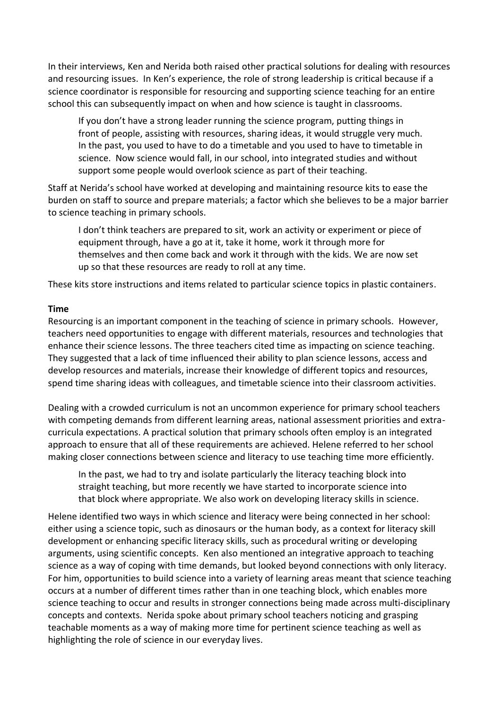In their interviews, Ken and Nerida both raised other practical solutions for dealing with resources and resourcing issues. In Ken's experience, the role of strong leadership is critical because if a science coordinator is responsible for resourcing and supporting science teaching for an entire school this can subsequently impact on when and how science is taught in classrooms.

If you don't have a strong leader running the science program, putting things in front of people, assisting with resources, sharing ideas, it would struggle very much. In the past, you used to have to do a timetable and you used to have to timetable in science. Now science would fall, in our school, into integrated studies and without support some people would overlook science as part of their teaching.

Staff at Nerida's school have worked at developing and maintaining resource kits to ease the burden on staff to source and prepare materials; a factor which she believes to be a major barrier to science teaching in primary schools.

I don't think teachers are prepared to sit, work an activity or experiment or piece of equipment through, have a go at it, take it home, work it through more for themselves and then come back and work it through with the kids. We are now set up so that these resources are ready to roll at any time.

These kits store instructions and items related to particular science topics in plastic containers.

## **Time**

Resourcing is an important component in the teaching of science in primary schools. However, teachers need opportunities to engage with different materials, resources and technologies that enhance their science lessons. The three teachers cited time as impacting on science teaching. They suggested that a lack of time influenced their ability to plan science lessons, access and develop resources and materials, increase their knowledge of different topics and resources, spend time sharing ideas with colleagues, and timetable science into their classroom activities.

Dealing with a crowded curriculum is not an uncommon experience for primary school teachers with competing demands from different learning areas, national assessment priorities and extracurricula expectations. A practical solution that primary schools often employ is an integrated approach to ensure that all of these requirements are achieved. Helene referred to her school making closer connections between science and literacy to use teaching time more efficiently.

In the past, we had to try and isolate particularly the literacy teaching block into straight teaching, but more recently we have started to incorporate science into that block where appropriate. We also work on developing literacy skills in science.

Helene identified two ways in which science and literacy were being connected in her school: either using a science topic, such as dinosaurs or the human body, as a context for literacy skill development or enhancing specific literacy skills, such as procedural writing or developing arguments, using scientific concepts. Ken also mentioned an integrative approach to teaching science as a way of coping with time demands, but looked beyond connections with only literacy. For him, opportunities to build science into a variety of learning areas meant that science teaching occurs at a number of different times rather than in one teaching block, which enables more science teaching to occur and results in stronger connections being made across multi-disciplinary concepts and contexts. Nerida spoke about primary school teachers noticing and grasping teachable moments as a way of making more time for pertinent science teaching as well as highlighting the role of science in our everyday lives.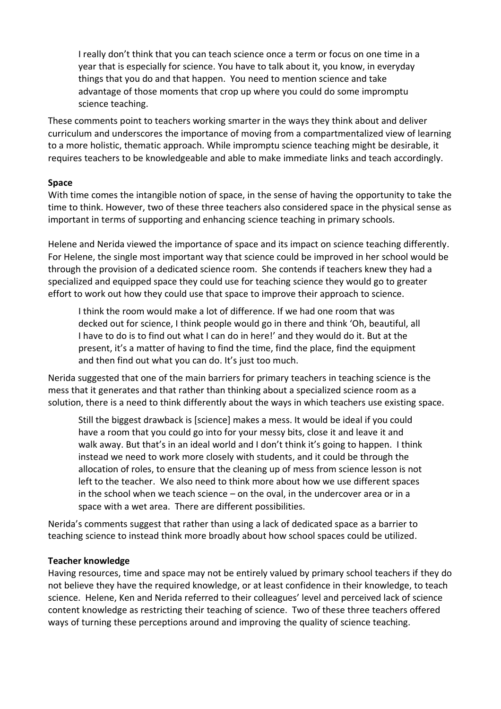I really don't think that you can teach science once a term or focus on one time in a year that is especially for science. You have to talk about it, you know, in everyday things that you do and that happen. You need to mention science and take advantage of those moments that crop up where you could do some impromptu science teaching.

These comments point to teachers working smarter in the ways they think about and deliver curriculum and underscores the importance of moving from a compartmentalized view of learning to a more holistic, thematic approach. While impromptu science teaching might be desirable, it requires teachers to be knowledgeable and able to make immediate links and teach accordingly.

### **Space**

With time comes the intangible notion of space, in the sense of having the opportunity to take the time to think. However, two of these three teachers also considered space in the physical sense as important in terms of supporting and enhancing science teaching in primary schools.

Helene and Nerida viewed the importance of space and its impact on science teaching differently. For Helene, the single most important way that science could be improved in her school would be through the provision of a dedicated science room. She contends if teachers knew they had a specialized and equipped space they could use for teaching science they would go to greater effort to work out how they could use that space to improve their approach to science.

I think the room would make a lot of difference. If we had one room that was decked out for science, I think people would go in there and think 'Oh, beautiful, all I have to do is to find out what I can do in here!' and they would do it. But at the present, it's a matter of having to find the time, find the place, find the equipment and then find out what you can do. It's just too much.

Nerida suggested that one of the main barriers for primary teachers in teaching science is the mess that it generates and that rather than thinking about a specialized science room as a solution, there is a need to think differently about the ways in which teachers use existing space.

Still the biggest drawback is [science] makes a mess. It would be ideal if you could have a room that you could go into for your messy bits, close it and leave it and walk away. But that's in an ideal world and I don't think it's going to happen. I think instead we need to work more closely with students, and it could be through the allocation of roles, to ensure that the cleaning up of mess from science lesson is not left to the teacher. We also need to think more about how we use different spaces in the school when we teach science – on the oval, in the undercover area or in a space with a wet area. There are different possibilities.

Nerida's comments suggest that rather than using a lack of dedicated space as a barrier to teaching science to instead think more broadly about how school spaces could be utilized.

#### **Teacher knowledge**

Having resources, time and space may not be entirely valued by primary school teachers if they do not believe they have the required knowledge, or at least confidence in their knowledge, to teach science. Helene, Ken and Nerida referred to their colleagues' level and perceived lack of science content knowledge as restricting their teaching of science. Two of these three teachers offered ways of turning these perceptions around and improving the quality of science teaching.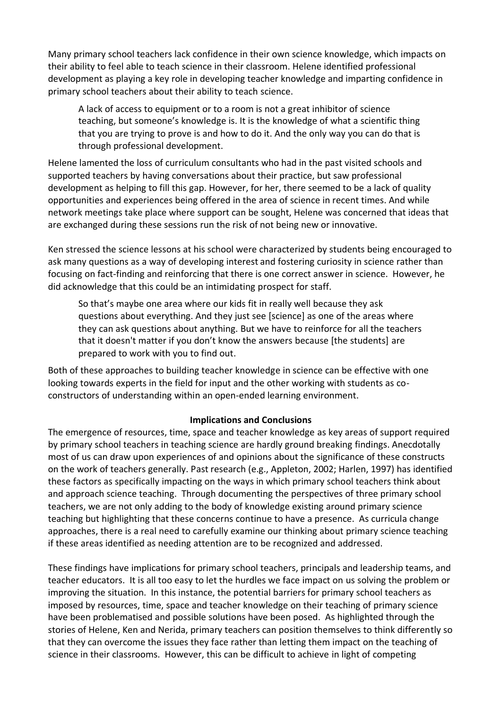Many primary school teachers lack confidence in their own science knowledge, which impacts on their ability to feel able to teach science in their classroom. Helene identified professional development as playing a key role in developing teacher knowledge and imparting confidence in primary school teachers about their ability to teach science.

A lack of access to equipment or to a room is not a great inhibitor of science teaching, but someone's knowledge is. It is the knowledge of what a scientific thing that you are trying to prove is and how to do it. And the only way you can do that is through professional development.

Helene lamented the loss of curriculum consultants who had in the past visited schools and supported teachers by having conversations about their practice, but saw professional development as helping to fill this gap. However, for her, there seemed to be a lack of quality opportunities and experiences being offered in the area of science in recent times. And while network meetings take place where support can be sought, Helene was concerned that ideas that are exchanged during these sessions run the risk of not being new or innovative.

Ken stressed the science lessons at his school were characterized by students being encouraged to ask many questions as a way of developing interest and fostering curiosity in science rather than focusing on fact-finding and reinforcing that there is one correct answer in science. However, he did acknowledge that this could be an intimidating prospect for staff.

So that's maybe one area where our kids fit in really well because they ask questions about everything. And they just see [science] as one of the areas where they can ask questions about anything. But we have to reinforce for all the teachers that it doesn't matter if you don't know the answers because [the students] are prepared to work with you to find out.

Both of these approaches to building teacher knowledge in science can be effective with one looking towards experts in the field for input and the other working with students as coconstructors of understanding within an open-ended learning environment.

# **Implications and Conclusions**

The emergence of resources, time, space and teacher knowledge as key areas of support required by primary school teachers in teaching science are hardly ground breaking findings. Anecdotally most of us can draw upon experiences of and opinions about the significance of these constructs on the work of teachers generally. Past research (e.g., Appleton, 2002; Harlen, 1997) has identified these factors as specifically impacting on the ways in which primary school teachers think about and approach science teaching. Through documenting the perspectives of three primary school teachers, we are not only adding to the body of knowledge existing around primary science teaching but highlighting that these concerns continue to have a presence. As curricula change approaches, there is a real need to carefully examine our thinking about primary science teaching if these areas identified as needing attention are to be recognized and addressed.

These findings have implications for primary school teachers, principals and leadership teams, and teacher educators. It is all too easy to let the hurdles we face impact on us solving the problem or improving the situation. In this instance, the potential barriers for primary school teachers as imposed by resources, time, space and teacher knowledge on their teaching of primary science have been problematised and possible solutions have been posed. As highlighted through the stories of Helene, Ken and Nerida, primary teachers can position themselves to think differently so that they can overcome the issues they face rather than letting them impact on the teaching of science in their classrooms. However, this can be difficult to achieve in light of competing